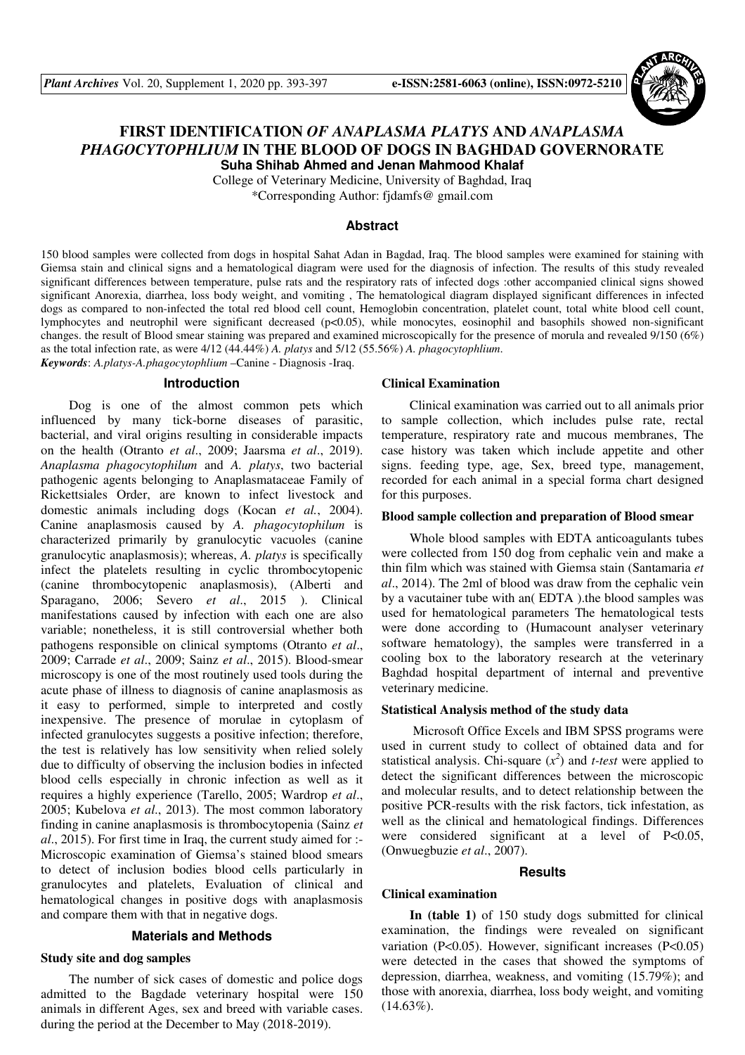

# **FIRST IDENTIFICATION** *OF ANAPLASMA PLATYS* **AND** *ANAPLASMA PHAGOCYTOPHLIUM* **IN THE BLOOD OF DOGS IN BAGHDAD GOVERNORATE Suha Shihab Ahmed and Jenan Mahmood Khalaf**

College of Veterinary Medicine, University of Baghdad, Iraq

\*Corresponding Author: fjdamfs@ gmail.com

### **Abstract**

150 blood samples were collected from dogs in hospital Sahat Adan in Bagdad, Iraq. The blood samples were examined for staining with Giemsa stain and clinical signs and a hematological diagram were used for the diagnosis of infection. The results of this study revealed significant differences between temperature, pulse rats and the respiratory rats of infected dogs :other accompanied clinical signs showed significant Anorexia, diarrhea, loss body weight, and vomiting , The hematological diagram displayed significant differences in infected dogs as compared to non-infected the total red blood cell count, Hemoglobin concentration, platelet count, total white blood cell count, lymphocytes and neutrophil were significant decreased (p<0.05), while monocytes, eosinophil and basophils showed non-significant changes. the result of Blood smear staining was prepared and examined microscopically for the presence of morula and revealed 9/150 (6%) as the total infection rate, as were 4/12 (44.44%) *A. platys* and 5/12 (55.56%) *A. phagocytophlium*. *Keywords*: *A.platys-A.phagocytophlium* –Canine - Diagnosis -Iraq.

#### **Introduction**

Dog is one of the almost common pets which influenced by many tick-borne diseases of parasitic, bacterial, and viral origins resulting in considerable impacts on the health (Otranto *et al*., 2009; Jaarsma *et al*., 2019). *Anaplasma phagocytophilum* and *A. platys*, two bacterial pathogenic agents belonging to Anaplasmataceae Family of Rickettsiales Order, are known to infect livestock and domestic animals including dogs (Kocan *et al.*, 2004). Canine anaplasmosis caused by *A. phagocytophilum* is characterized primarily by granulocytic vacuoles (canine granulocytic anaplasmosis); whereas, *A. platys* is specifically infect the platelets resulting in cyclic thrombocytopenic (canine thrombocytopenic anaplasmosis), (Alberti and Sparagano, 2006; Severo *et al*., 2015 ). Clinical manifestations caused by infection with each one are also variable; nonetheless, it is still controversial whether both pathogens responsible on clinical symptoms (Otranto *et al*., 2009; Carrade *et al*., 2009; Sainz *et al*., 2015). Blood-smear microscopy is one of the most routinely used tools during the acute phase of illness to diagnosis of canine anaplasmosis as it easy to performed, simple to interpreted and costly inexpensive. The presence of morulae in cytoplasm of infected granulocytes suggests a positive infection; therefore, the test is relatively has low sensitivity when relied solely due to difficulty of observing the inclusion bodies in infected blood cells especially in chronic infection as well as it requires a highly experience (Tarello, 2005; Wardrop *et al*., 2005; Kubelova *et al*., 2013). The most common laboratory finding in canine anaplasmosis is thrombocytopenia (Sainz *et al*., 2015). For first time in Iraq, the current study aimed for :- Microscopic examination of Giemsa's stained blood smears to detect of inclusion bodies blood cells particularly in granulocytes and platelets, Evaluation of clinical and hematological changes in positive dogs with anaplasmosis and compare them with that in negative dogs.

### **Materials and Methods**

### **Study site and dog samples**

The number of sick cases of domestic and police dogs admitted to the Bagdade veterinary hospital were 150 animals in different Ages, sex and breed with variable cases. during the period at the December to May (2018-2019).

### **Clinical Examination**

Clinical examination was carried out to all animals prior to sample collection, which includes pulse rate, rectal temperature, respiratory rate and mucous membranes, The case history was taken which include appetite and other signs. feeding type, age, Sex, breed type, management, recorded for each animal in a special forma chart designed for this purposes.

### **Blood sample collection and preparation of Blood smear**

Whole blood samples with EDTA anticoagulants tubes were collected from 150 dog from cephalic vein and make a thin film which was stained with Giemsa stain (Santamaria *et al*., 2014). The 2ml of blood was draw from the cephalic vein by a vacutainer tube with an( EDTA ).the blood samples was used for hematological parameters The hematological tests were done according to (Humacount analyser veterinary software hematology), the samples were transferred in a cooling box to the laboratory research at the veterinary Baghdad hospital department of internal and preventive veterinary medicine.

#### **Statistical Analysis method of the study data**

 Microsoft Office Excels and IBM SPSS programs were used in current study to collect of obtained data and for statistical analysis. Chi-square  $(x^2)$  and *t-test* were applied to detect the significant differences between the microscopic and molecular results, and to detect relationship between the positive PCR-results with the risk factors, tick infestation, as well as the clinical and hematological findings. Differences were considered significant at a level of P<0.05, (Onwuegbuzie *et al*., 2007).

#### **Results**

#### **Clinical examination**

**In (table 1)** of 150 study dogs submitted for clinical examination, the findings were revealed on significant variation (P<0.05). However, significant increases (P<0.05) were detected in the cases that showed the symptoms of depression, diarrhea, weakness, and vomiting (15.79%); and those with anorexia, diarrhea, loss body weight, and vomiting  $(14.63\%).$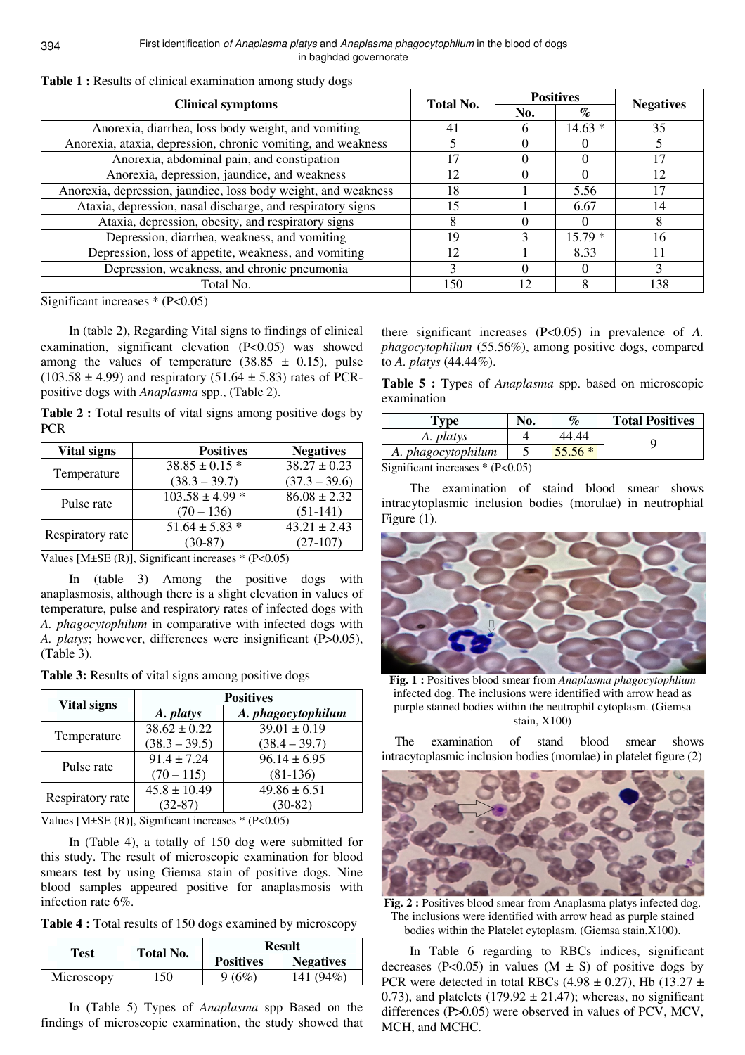| <b>Clinical symptoms</b>                                       | <b>Total No.</b> | <b>Positives</b> |          | <b>Negatives</b> |
|----------------------------------------------------------------|------------------|------------------|----------|------------------|
|                                                                |                  | No.              | $\%$     |                  |
| Anorexia, diarrhea, loss body weight, and vomiting             | 41               | 6                | $14.63*$ | 35               |
| Anorexia, ataxia, depression, chronic vomiting, and weakness   |                  | $\theta$         |          |                  |
| Anorexia, abdominal pain, and constipation                     | 17               | $\mathbf{0}$     |          | 17               |
| Anorexia, depression, jaundice, and weakness                   | 12               |                  |          | 12               |
| Anorexia, depression, jaundice, loss body weight, and weakness | 18               |                  | 5.56     | 17               |
| Ataxia, depression, nasal discharge, and respiratory signs     | 15               |                  | 6.67     | 14               |
| Ataxia, depression, obesity, and respiratory signs             | 8                | $\mathbf{0}$     | $\theta$ | 8                |
| Depression, diarrhea, weakness, and vomiting                   | 19               |                  | $15.79*$ | 16               |
| Depression, loss of appetite, weakness, and vomiting           | 12               |                  | 8.33     |                  |
| Depression, weakness, and chronic pneumonia                    | 3                | 0                |          | 3                |
| Total No.                                                      | 150              | 12               |          | 138              |

**Table 1 :** Results of clinical examination among study dogs

Significant increases \* (P<0.05)

In (table 2), Regarding Vital signs to findings of clinical examination, significant elevation (P<0.05) was showed among the values of temperature  $(38.85 \pm 0.15)$ , pulse  $(103.58 \pm 4.99)$  and respiratory  $(51.64 \pm 5.83)$  rates of PCRpositive dogs with *Anaplasma* spp., (Table 2).

| <b>Table 2 :</b> Total results of vital signs among positive dogs by |  |  |  |  |  |
|----------------------------------------------------------------------|--|--|--|--|--|
| <b>PCR</b>                                                           |  |  |  |  |  |

| Vital signs      | <b>Positives</b>    | <b>Negatives</b> |
|------------------|---------------------|------------------|
|                  | $38.85 \pm 0.15$ *  | $38.27 \pm 0.23$ |
| Temperature      | $(38.3 - 39.7)$     | $(37.3 - 39.6)$  |
| Pulse rate       | $103.58 \pm 4.99$ * | $86.08 \pm 2.32$ |
|                  | $(70 - 136)$        | $(51-141)$       |
|                  | $51.64 \pm 5.83$ *  | $43.21 \pm 2.43$ |
| Respiratory rate | $(30-87)$           | $(27-107)$       |

Values [M $\pm$ SE (R)], Significant increases \* (P<0.05)

In (table 3) Among the positive dogs with anaplasmosis, although there is a slight elevation in values of temperature, pulse and respiratory rates of infected dogs with *A. phagocytophilum* in comparative with infected dogs with *A. platys*; however, differences were insignificant (P>0.05), (Table 3).

**Table 3:** Results of vital signs among positive dogs

| <b>Vital signs</b> | <b>Positives</b> |                    |  |
|--------------------|------------------|--------------------|--|
|                    | A. platys        | A. phagocytophilum |  |
|                    | $38.62 \pm 0.22$ | $39.01 \pm 0.19$   |  |
| Temperature        | $(38.3 - 39.5)$  | $(38.4 - 39.7)$    |  |
| Pulse rate         | $91.4 \pm 7.24$  | $96.14 \pm 6.95$   |  |
|                    | $(70 - 115)$     | $(81-136)$         |  |
| Respiratory rate   | $45.8 \pm 10.49$ | $49.86 \pm 6.51$   |  |
|                    | $(32-87)$        | $(30-82)$          |  |

Values [M $\pm$ SE (R)], Significant increases  $*$  (P<0.05)

In (Table 4), a totally of 150 dog were submitted for this study. The result of microscopic examination for blood smears test by using Giemsa stain of positive dogs. Nine blood samples appeared positive for anaplasmosis with infection rate 6%.

**Table 4 :** Total results of 150 dogs examined by microscopy

| Test       | <b>Total No.</b> |                  | <b>Result</b>    |
|------------|------------------|------------------|------------------|
|            |                  | <b>Positives</b> | <b>Negatives</b> |
| Microscopy | 50،              | 9(6%)            | 141 (94%)        |

In (Table 5) Types of *Anaplasma* spp Based on the findings of microscopic examination, the study showed that

there significant increases (P<0.05) in prevalence of *A. phagocytophilum* (55.56%), among positive dogs, compared to *A. platys* (44.44%).

**Table 5 :** Types of *Anaplasma* spp. based on microscopic examination

| l'ype                                                                                      | No. | $\%$     | <b>Total Positives</b> |  |  |
|--------------------------------------------------------------------------------------------|-----|----------|------------------------|--|--|
| A. platys                                                                                  |     | 44.44    |                        |  |  |
| A. phagocytophilum                                                                         |     | $55.56*$ |                        |  |  |
| $\mathbb{C}$ and $\mathbb{C}$ and in concerned $\mathbb{R}$ (D $\mathbb{C}$ ) $\mathbb{C}$ |     |          |                        |  |  |

Significant increases \* (P<0.05)

The examination of staind blood smear shows intracytoplasmic inclusion bodies (morulae) in neutrophial Figure (1).



**Fig. 1 :** Positives blood smear from *Anaplasma phagocytophlium* infected dog. The inclusions were identified with arrow head as purple stained bodies within the neutrophil cytoplasm. (Giemsa stain, X100)

 The examination of stand blood smear shows intracytoplasmic inclusion bodies (morulae) in platelet figure (2)



Fig. 2 : Positives blood smear from Anaplasma platys infected dog. The inclusions were identified with arrow head as purple stained bodies within the Platelet cytoplasm. (Giemsa stain,X100).

In Table 6 regarding to RBCs indices, significant decreases (P<0.05) in values (M  $\pm$  S) of positive dogs by PCR were detected in total RBCs (4.98  $\pm$  0.27), Hb (13.27  $\pm$ 0.73), and platelets  $(179.92 \pm 21.47)$ ; whereas, no significant differences (P>0.05) were observed in values of PCV, MCV, MCH, and MCHC.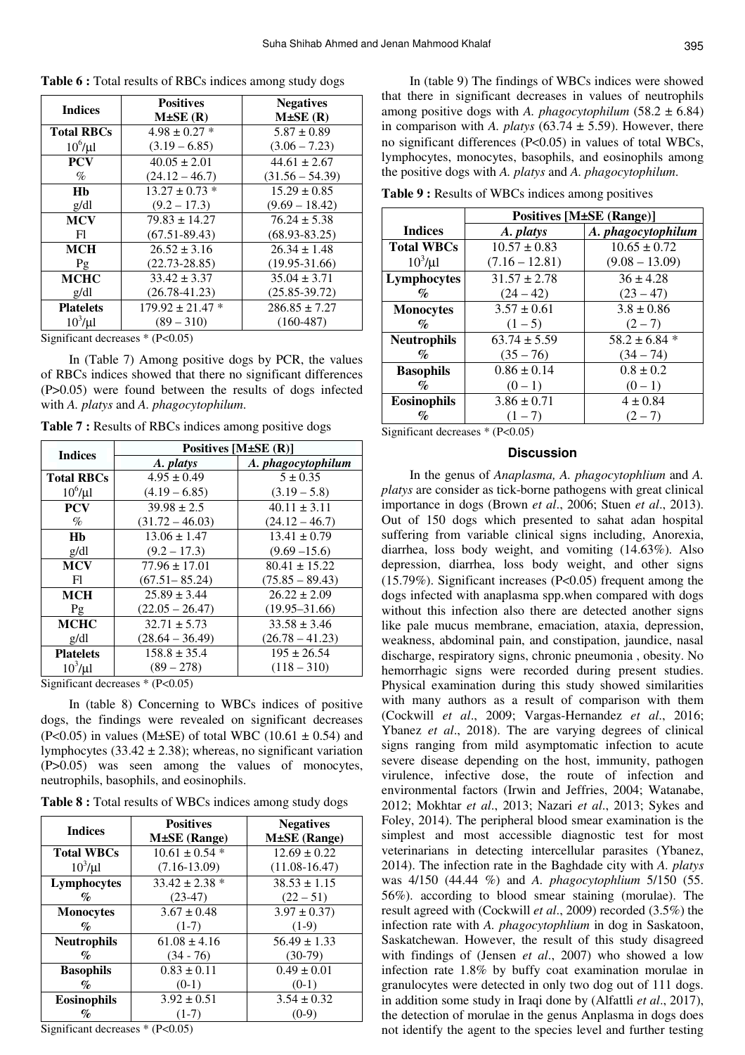| <b>Indices</b>    | <b>Positives</b>     | <b>Negatives</b>  |
|-------------------|----------------------|-------------------|
|                   | $M\pm SE(R)$         | $M\pm SE(R)$      |
| <b>Total RBCs</b> | $4.98 \pm 0.27$ *    | $5.87 \pm 0.89$   |
| $10^6$ / $\mu$ l  | $(3.19 - 6.85)$      | $(3.06 - 7.23)$   |
| <b>PCV</b>        | $40.05 \pm 2.01$     | $44.61 \pm 2.67$  |
| $\%$              | $(24.12 - 46.7)$     | $(31.56 - 54.39)$ |
| Hb                | $13.27 \pm 0.73$ *   | $15.29 \pm 0.85$  |
| g/dl              | $(9.2 - 17.3)$       | $(9.69 - 18.42)$  |
| <b>MCV</b>        | $79.83 \pm 14.27$    | $76.24 \pm 5.38$  |
| F1                | $(67.51 - 89.43)$    | $(68.93 - 83.25)$ |
| <b>MCH</b>        | $26.52 \pm 3.16$     | $26.34 \pm 1.48$  |
| Pg                | $(22.73 - 28.85)$    | $(19.95 - 31.66)$ |
| <b>MCHC</b>       | $33.42 \pm 3.37$     | $35.04 \pm 3.71$  |
| g/dl              | $(26.78 - 41.23)$    | $(25.85 - 39.72)$ |
| <b>Platelets</b>  | $179.92 \pm 21.47$ * | $286.85 \pm 7.27$ |
| $10^3/\mu$ l      | $(89 - 310)$         | $(160-487)$       |

**Table 6 :** Total results of RBCs indices among study dogs

Significant decreases \* (P<0.05)

In (Table 7) Among positive dogs by PCR, the values of RBCs indices showed that there no significant differences (P>0.05) were found between the results of dogs infected with *A. platys* and *A. phagocytophilum*.

**Table 7 :** Results of RBCs indices among positive dogs

| <b>Indices</b>    | Positives $[M\pm SE(R)]$ |                    |  |  |
|-------------------|--------------------------|--------------------|--|--|
|                   | A. platys                | A. phagocytophilum |  |  |
| <b>Total RBCs</b> | $4.95 \pm 0.49$          | $5 \pm 0.35$       |  |  |
| $10^6/\mu$ l      | $(4.19 - 6.85)$          | $(3.19 - 5.8)$     |  |  |
| <b>PCV</b>        | $39.98 \pm 2.5$          | $40.11 \pm 3.11$   |  |  |
| $\%$              | $(31.72 - 46.03)$        | $(24.12 - 46.7)$   |  |  |
| Hh                | $13.06 \pm 1.47$         | $13.41 \pm 0.79$   |  |  |
| g/dl              | $(9.2 - 17.3)$           | $(9.69 - 15.6)$    |  |  |
| <b>MCV</b>        | $77.96 \pm 17.01$        | $80.41 \pm 15.22$  |  |  |
| F1                | $(67.51 - 85.24)$        | $(75.85 - 89.43)$  |  |  |
| <b>MCH</b>        | $25.89 \pm 3.44$         | $26.22 \pm 2.09$   |  |  |
| Pg                | $(22.05 - 26.47)$        | $(19.95 - 31.66)$  |  |  |
| <b>MCHC</b>       | $32.71 \pm 5.73$         | $33.58 \pm 3.46$   |  |  |
| g/dl              | $(28.64 - 36.49)$        | $(26.78 - 41.23)$  |  |  |
| <b>Platelets</b>  | $158.8 \pm 35.4$         | $195 \pm 26.54$    |  |  |
| $10^3/\mu$ l      | $(89 - 278)$             | $(118 - 310)$      |  |  |

Significant decreases \* (P<0.05)

In (table 8) Concerning to WBCs indices of positive dogs, the findings were revealed on significant decreases (P<0.05) in values (M $\pm$ SE) of total WBC (10.61  $\pm$  0.54) and lymphocytes  $(33.42 \pm 2.38)$ ; whereas, no significant variation (P>0.05) was seen among the values of monocytes, neutrophils, basophils, and eosinophils.

|  |  | Table 8 : Total results of WBCs indices among study dogs |  |  |  |  |  |
|--|--|----------------------------------------------------------|--|--|--|--|--|
|--|--|----------------------------------------------------------|--|--|--|--|--|

| <b>Indices</b>              | <b>Positives</b><br><b>M</b> ±SE (Range) | <b>Negatives</b><br><b>M</b> ±SE (Range) |
|-----------------------------|------------------------------------------|------------------------------------------|
| <b>Total WBCs</b>           | $10.61 \pm 0.54$ *                       | $12.69 \pm 0.22$                         |
| $10^3/\mu$ l                | $(7.16-13.09)$                           | $(11.08 - 16.47)$                        |
| Lymphocytes                 | $33.42 \pm 2.38$ *                       | $38.53 \pm 1.15$                         |
| $\mathcal{O}_{\mathcal{O}}$ | $(23-47)$                                | $(22 - 51)$                              |
| <b>Monocytes</b>            | $3.67 \pm 0.48$                          | $3.97 \pm 0.37$                          |
| $\mathcal{O}_0$             | $(1-7)$                                  | $(1-9)$                                  |
| <b>Neutrophils</b>          | $61.08 \pm 4.16$                         | $56.49 \pm 1.33$                         |
| $\%$                        | $(34 - 76)$                              | $(30-79)$                                |
| <b>Basophils</b>            | $0.83 \pm 0.11$                          | $0.49 \pm 0.01$                          |
| $\mathcal{O}_0$             | $(0-1)$                                  | $(0-1)$                                  |
| <b>Eosinophils</b>          | $3.92 \pm 0.51$                          | $3.54 \pm 0.32$                          |
| $\mathcal{O}_0$             | $(1-7)$                                  | $(0-9)$                                  |

Significant decreases \* (P<0.05)

In (table 9) The findings of WBCs indices were showed that there in significant decreases in values of neutrophils among positive dogs with *A. phagocytophilum* (58.2 ± 6.84) in comparison with *A. platys* (63.74  $\pm$  5.59). However, there no significant differences (P<0.05) in values of total WBCs, lymphocytes, monocytes, basophils, and eosinophils among the positive dogs with *A. platys* and *A. phagocytophilum*.

**Table 9 :** Results of WBCs indices among positives

|                             | <b>Positives [M±SE (Range)]</b> |                    |  |  |
|-----------------------------|---------------------------------|--------------------|--|--|
| <b>Indices</b>              | A. platys                       | A. phagocytophilum |  |  |
| <b>Total WBCs</b>           | $10.57 \pm 0.83$                | $10.65 \pm 0.72$   |  |  |
| $10^3/\mu$ l                | $(7.16 - 12.81)$                | $(9.08 - 13.09)$   |  |  |
| Lymphocytes                 | $31.57 \pm 2.78$                | $36 \pm 4.28$      |  |  |
| $\mathcal{O}_0$             | $(24 - 42)$                     | $(23 - 47)$        |  |  |
| <b>Monocytes</b>            | $3.57 \pm 0.61$                 | $3.8 \pm 0.86$     |  |  |
| $\mathcal{O}_{\mathcal{O}}$ | $(1-5)$                         | $(2 - 7)$          |  |  |
| <b>Neutrophils</b>          | $63.74 \pm 5.59$                | $58.2 \pm 6.84$ *  |  |  |
| $\%$                        | $(35 - 76)$                     | (34 – 74)          |  |  |
| <b>Basophils</b>            | $0.86 \pm 0.14$                 | $0.8 \pm 0.2$      |  |  |
| $\mathcal{O}_0$             | $(0-1)$                         | $(0-1)$            |  |  |
| <b>Eosinophils</b>          | $3.86 \pm 0.71$                 | $4 \pm 0.84$       |  |  |
| $\mathcal{O}_0$             | $(1 - 7)$                       | $(2 - 7)$          |  |  |

Significant decreases \* (P<0.05)

### **Discussion**

In the genus of *Anaplasma, A. phagocytophlium* and *A. platys* are consider as tick-borne pathogens with great clinical importance in dogs (Brown *et al*., 2006; Stuen *et al*., 2013). Out of 150 dogs which presented to sahat adan hospital suffering from variable clinical signs including, Anorexia, diarrhea, loss body weight, and vomiting (14.63%). Also depression, diarrhea, loss body weight, and other signs (15.79%). Significant increases (P<0.05) frequent among the dogs infected with anaplasma spp.when compared with dogs without this infection also there are detected another signs like pale mucus membrane, emaciation, ataxia, depression, weakness, abdominal pain, and constipation, jaundice, nasal discharge, respiratory signs, chronic pneumonia , obesity. No hemorrhagic signs were recorded during present studies. Physical examination during this study showed similarities with many authors as a result of comparison with them (Cockwill *et al*., 2009; Vargas-Hernandez *et al*., 2016; Ybanez *et al*., 2018). The are varying degrees of clinical signs ranging from mild asymptomatic infection to acute severe disease depending on the host, immunity, pathogen virulence, infective dose, the route of infection and environmental factors (Irwin and Jeffries, 2004; Watanabe, 2012; Mokhtar *et al*., 2013; Nazari *et al*., 2013; Sykes and Foley, 2014). The peripheral blood smear examination is the simplest and most accessible diagnostic test for most veterinarians in detecting intercellular parasites (Ybanez, 2014). The infection rate in the Baghdade city with *A. platys* was 4/150 (44.44 %) and *A. phagocytophlium* 5/150 (55. 56%). according to blood smear staining (morulae). The result agreed with (Cockwill *et al*., 2009) recorded (3.5%) the infection rate with *A. phagocytophlium* in dog in Saskatoon, Saskatchewan. However, the result of this study disagreed with findings of (Jensen *et al*., 2007) who showed a low infection rate 1.8% by buffy coat examination morulae in granulocytes were detected in only two dog out of 111 dogs. in addition some study in Iraqi done by (Alfattli *et al*., 2017), the detection of morulae in the genus Anplasma in dogs does not identify the agent to the species level and further testing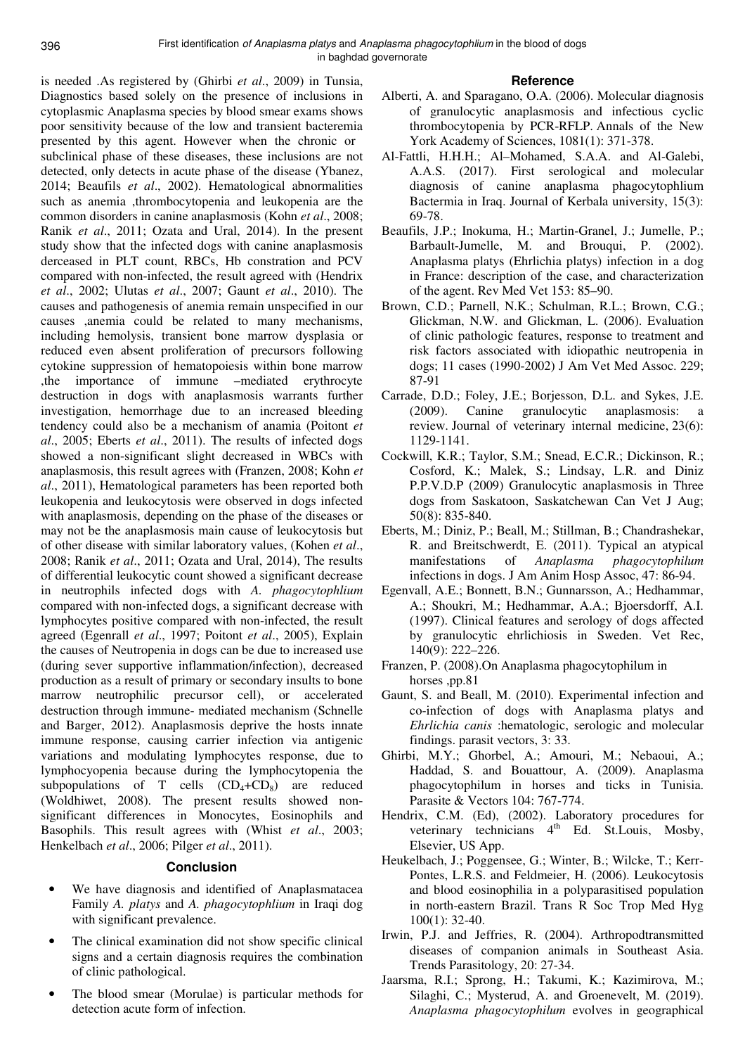is needed .As registered by (Ghirbi *et al*., 2009) in Tunsia, Diagnostics based solely on the presence of inclusions in cytoplasmic Anaplasma species by blood smear exams shows poor sensitivity because of the low and transient bacteremia presented by this agent. However when the chronic or subclinical phase of these diseases, these inclusions are not detected, only detects in acute phase of the disease (Ybanez, 2014; Beaufils *et al*., 2002). Hematological abnormalities such as anemia ,thrombocytopenia and leukopenia are the common disorders in canine anaplasmosis (Kohn *et al*., 2008; Ranik *et al*., 2011; Ozata and Ural, 2014). In the present study show that the infected dogs with canine anaplasmosis derceased in PLT count, RBCs, Hb constration and PCV compared with non-infected, the result agreed with (Hendrix *et al*., 2002; Ulutas *et al*., 2007; Gaunt *et al*., 2010). The causes and pathogenesis of anemia remain unspecified in our causes ,anemia could be related to many mechanisms, including hemolysis, transient bone marrow dysplasia or reduced even absent proliferation of precursors following cytokine suppression of hematopoiesis within bone marrow ,the importance of immune –mediated erythrocyte destruction in dogs with anaplasmosis warrants further investigation, hemorrhage due to an increased bleeding tendency could also be a mechanism of anamia (Poitont *et al*., 2005; Eberts *et al*., 2011). The results of infected dogs showed a non-significant slight decreased in WBCs with anaplasmosis, this result agrees with (Franzen, 2008; Kohn *et al*., 2011), Hematological parameters has been reported both leukopenia and leukocytosis were observed in dogs infected with anaplasmosis, depending on the phase of the diseases or may not be the anaplasmosis main cause of leukocytosis but of other disease with similar laboratory values, (Kohen *et al*., 2008; Ranik *et al*., 2011; Ozata and Ural, 2014), The results of differential leukocytic count showed a significant decrease in neutrophils infected dogs with *A. phagocytophlium*  compared with non-infected dogs, a significant decrease with lymphocytes positive compared with non-infected, the result agreed (Egenrall *et al*., 1997; Poitont *et al*., 2005), Explain the causes of Neutropenia in dogs can be due to increased use (during sever supportive inflammation/infection), decreased production as a result of primary or secondary insults to bone marrow neutrophilic precursor cell), or accelerated destruction through immune- mediated mechanism (Schnelle and Barger, 2012). Anaplasmosis deprive the hosts innate immune response, causing carrier infection via antigenic variations and modulating lymphocytes response, due to lymphocyopenia because during the lymphocytopenia the subpopulations of T cells  $(CD_4+CD_8)$  are reduced (Woldhiwet, 2008). The present results showed nonsignificant differences in Monocytes, Eosinophils and Basophils. This result agrees with (Whist *et al*., 2003; Henkelbach *et al*., 2006; Pilger *et al*., 2011).

## **Conclusion**

- We have diagnosis and identified of Anaplasmatacea Family *A. platys* and *A. phagocytophlium* in Iraqi dog with significant prevalence.
- The clinical examination did not show specific clinical signs and a certain diagnosis requires the combination of clinic pathological.
- The blood smear (Morulae) is particular methods for detection acute form of infection.

### **Reference**

- Alberti, A. and Sparagano, O.A. (2006). Molecular diagnosis of granulocytic anaplasmosis and infectious cyclic thrombocytopenia by PCR-RFLP. Annals of the New York Academy of Sciences, 1081(1): 371-378.
- Al-Fattli, H.H.H.; Al–Mohamed, S.A.A. and Al-Galebi, A.A.S. (2017). First serological and molecular diagnosis of canine anaplasma phagocytophlium Bactermia in Iraq. Journal of Kerbala university, 15(3): 69-78.
- Beaufils, J.P.; Inokuma, H.; Martin-Granel, J.; Jumelle, P.; Barbault-Jumelle, M. and Brouqui, P. (2002). Anaplasma platys (Ehrlichia platys) infection in a dog in France: description of the case, and characterization of the agent. Rev Med Vet 153: 85–90.
- Brown, C.D.; Parnell, N.K.; Schulman, R.L.; Brown, C.G.; Glickman, N.W. and Glickman, L. (2006). Evaluation of clinic pathologic features, response to treatment and risk factors associated with idiopathic neutropenia in dogs; 11 cases (1990-2002) J Am Vet Med Assoc. 229; 87-91
- Carrade, D.D.; Foley, J.E.; Borjesson, D.L. and Sykes, J.E. (2009). Canine granulocytic anaplasmosis: a review. Journal of veterinary internal medicine, 23(6): 1129-1141.
- Cockwill, K.R.; Taylor, S.M.; Snead, E.C.R.; Dickinson, R.; Cosford, K.; Malek, S.; Lindsay, L.R. and Diniz P.P.V.D.P (2009) Granulocytic anaplasmosis in Three dogs from Saskatoon, Saskatchewan Can Vet J Aug; 50(8): 835-840.
- Eberts, M.; Diniz, P.; Beall, M.; Stillman, B.; Chandrashekar, R. and Breitschwerdt, E. (2011). Typical an atypical manifestations of *Anaplasma phagocytophilum*  infections in dogs. J Am Anim Hosp Assoc, 47: 86-94.
- Egenvall, A.E.; Bonnett, B.N.; Gunnarsson, A.; Hedhammar, A.; Shoukri, M.; Hedhammar, A.A.; Bjoersdorff, A.I. (1997). Clinical features and serology of dogs affected by granulocytic ehrlichiosis in Sweden. Vet Rec, 140(9): 222–226.
- Franzen, P. (2008).On Anaplasma phagocytophilum in horses ,pp.81
- Gaunt, S. and Beall, M. (2010). Experimental infection and co-infection of dogs with Anaplasma platys and *Ehrlichia canis* :hematologic, serologic and molecular findings. parasit vectors, 3: 33.
- Ghirbi, M.Y.; Ghorbel, A.; Amouri, M.; Nebaoui, A.; Haddad, S. and Bouattour, A. (2009). Anaplasma phagocytophilum in horses and ticks in Tunisia. Parasite & Vectors 104: 767-774.
- Hendrix, C.M. (Ed), (2002). Laboratory procedures for veterinary technicians  $4<sup>th</sup>$  Ed. St. Louis, Mosby, Elsevier, US App.
- Heukelbach, J.; Poggensee, G.; Winter, B.; Wilcke, T.; Kerr-Pontes, L.R.S. and Feldmeier, H. (2006). Leukocytosis and blood eosinophilia in a polyparasitised population in north-eastern Brazil. Trans R Soc Trop Med Hyg 100(1): 32-40.
- Irwin, P.J. and Jeffries, R. (2004). Arthropodtransmitted diseases of companion animals in Southeast Asia. Trends Parasitology, 20: 27-34.
- Jaarsma, R.I.; Sprong, H.; Takumi, K.; Kazimirova, M.; Silaghi, C.; Mysterud, A. and Groenevelt, M. (2019). *Anaplasma phagocytophilum* evolves in geographical